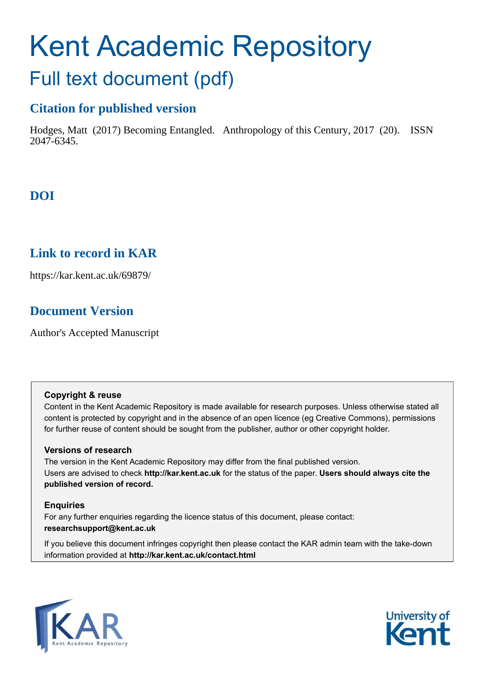# Kent Academic Repository Full text document (pdf)

# **Citation for published version**

Hodges, Matt (2017) Becoming Entangled. Anthropology of this Century, 2017 (20). ISSN 2047-6345.

# **DOI**

# **Link to record in KAR**

https://kar.kent.ac.uk/69879/

# **Document Version**

Author's Accepted Manuscript

#### **Copyright & reuse**

Content in the Kent Academic Repository is made available for research purposes. Unless otherwise stated all content is protected by copyright and in the absence of an open licence (eg Creative Commons), permissions for further reuse of content should be sought from the publisher, author or other copyright holder.

#### **Versions of research**

The version in the Kent Academic Repository may differ from the final published version. Users are advised to check **http://kar.kent.ac.uk** for the status of the paper. **Users should always cite the published version of record.**

#### **Enquiries**

For any further enquiries regarding the licence status of this document, please contact: **researchsupport@kent.ac.uk**

If you believe this document infringes copyright then please contact the KAR admin team with the take-down information provided at **http://kar.kent.ac.uk/contact.html**



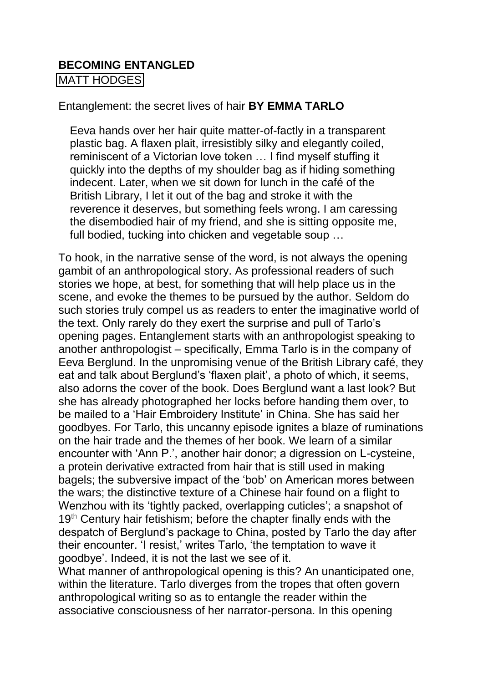# **BECOMING ENTANGLED**

[MATT HODGES](http://aotcpress.com/author/matt-hodges/) 

## Entanglement: the secret lives of hair **BY EMMA TARLO**

Eeva hands over her hair quite matter-of-factly in a transparent plastic bag. A flaxen plait, irresistibly silky and elegantly coiled, reminiscent of a Victorian love token … I find myself stuffing it quickly into the depths of my shoulder bag as if hiding something indecent. Later, when we sit down for lunch in the café of the British Library, I let it out of the bag and stroke it with the reverence it deserves, but something feels wrong. I am caressing the disembodied hair of my friend, and she is sitting opposite me, full bodied, tucking into chicken and vegetable soup …

To hook, in the narrative sense of the word, is not always the opening gambit of an anthropological story. As professional readers of such stories we hope, at best, for something that will help place us in the scene, and evoke the themes to be pursued by the author. Seldom do such stories truly compel us as readers to enter the imaginative world of the text. Only rarely do they exert the surprise and pull of Tarlo's opening pages. Entanglement starts with an anthropologist speaking to another anthropologist – specifically, Emma Tarlo is in the company of Eeva Berglund. In the unpromising venue of the British Library café, they eat and talk about Berglund's 'flaxen plait', a photo of which, it seems, also adorns the cover of the book. Does Berglund want a last look? But she has already photographed her locks before handing them over, to be mailed to a 'Hair Embroidery Institute' in China. She has said her goodbyes. For Tarlo, this uncanny episode ignites a blaze of ruminations on the hair trade and the themes of her book. We learn of a similar encounter with 'Ann P.', another hair donor; a digression on L-cysteine, a protein derivative extracted from hair that is still used in making bagels; the subversive impact of the 'bob' on American mores between the wars; the distinctive texture of a Chinese hair found on a flight to Wenzhou with its 'tightly packed, overlapping cuticles'; a snapshot of 19<sup>th</sup> Century hair fetishism; before the chapter finally ends with the despatch of Berglund's package to China, posted by Tarlo the day after their encounter. 'I resist,' writes Tarlo, 'the temptation to wave it goodbye'. Indeed, it is not the last we see of it.

What manner of anthropological opening is this? An unanticipated one, within the literature. Tarlo diverges from the tropes that often govern anthropological writing so as to entangle the reader within the associative consciousness of her narrator-persona. In this opening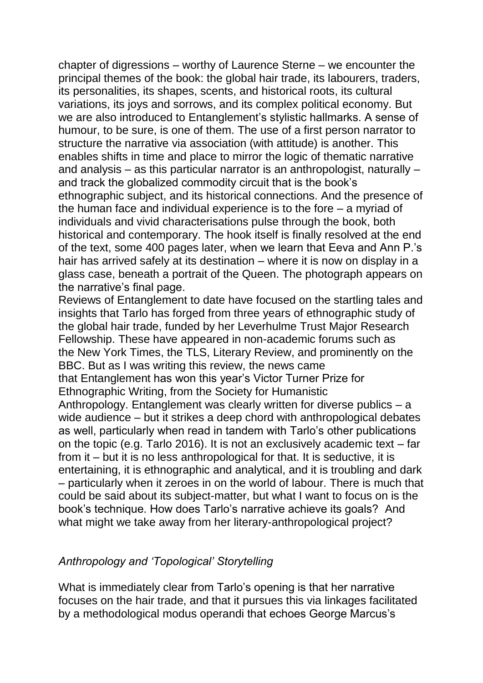chapter of digressions – worthy of Laurence Sterne – we encounter the principal themes of the book: the global hair trade, its labourers, traders, its personalities, its shapes, scents, and historical roots, its cultural variations, its joys and sorrows, and its complex political economy. But we are also introduced to Entanglement's stylistic hallmarks. A sense of humour, to be sure, is one of them. The use of a first person narrator to structure the narrative via association (with attitude) is another. This enables shifts in time and place to mirror the logic of thematic narrative and analysis – as this particular narrator is an anthropologist, naturally – and track the globalized commodity circuit that is the book's ethnographic subject, and its historical connections. And the presence of the human face and individual experience is to the fore – a myriad of individuals and vivid characterisations pulse through the book, both historical and contemporary. The hook itself is finally resolved at the end of the text, some 400 pages later, when we learn that Eeva and Ann P.'s hair has arrived safely at its destination – where it is now on display in a glass case, beneath a portrait of the Queen. The photograph appears on the narrative's final page.

Reviews of Entanglement to date have focused on the startling tales and insights that Tarlo has forged from three years of ethnographic study of the global hair trade, funded by her Leverhulme Trust Major Research Fellowship. These have appeared in non-academic forums such as the New York Times, the TLS, Literary Review, and prominently on the BBC. But as I was writing this review, the news came that Entanglement has won this year's Victor Turner Prize for Ethnographic Writing, from the Society for Humanistic Anthropology. Entanglement was clearly written for diverse publics – a wide audience – but it strikes a deep chord with anthropological debates as well, particularly when read in tandem with Tarlo's other publications on the topic (e.g. Tarlo 2016). It is not an exclusively academic text – far from it – but it is no less anthropological for that. It is seductive, it is entertaining, it is ethnographic and analytical, and it is troubling and dark – particularly when it zeroes in on the world of labour. There is much that could be said about its subject-matter, but what I want to focus on is the book's technique. How does Tarlo's narrative achieve its goals? And what might we take away from her literary-anthropological project?

# *Anthropology and 'Topological' Storytelling*

What is immediately clear from Tarlo's opening is that her narrative focuses on the hair trade, and that it pursues this via linkages facilitated by a methodological modus operandi that echoes George Marcus's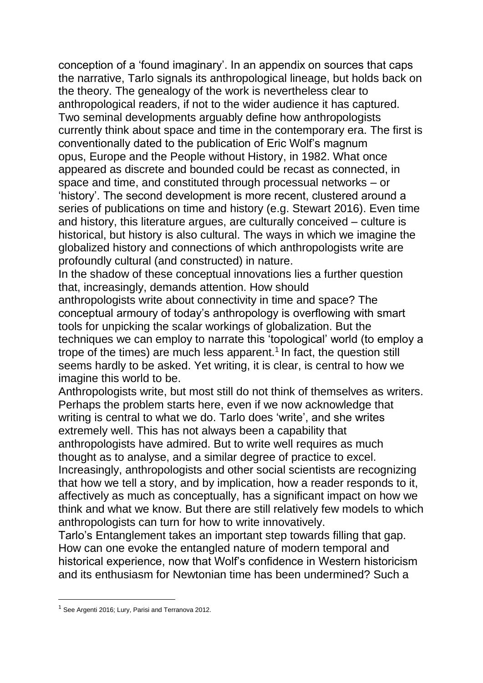conception of a 'found imaginary'. In an appendix on sources that caps the narrative, Tarlo signals its anthropological lineage, but holds back on the theory. The genealogy of the work is nevertheless clear to anthropological readers, if not to the wider audience it has captured. Two seminal developments arguably define how anthropologists currently think about space and time in the contemporary era. The first is conventionally dated to the publication of Eric Wolf's magnum opus, Europe and the People without History, in 1982. What once appeared as discrete and bounded could be recast as connected, in space and time, and constituted through processual networks – or 'history'. The second development is more recent, clustered around a series of publications on time and history (e.g. Stewart 2016). Even time and history, this literature argues, are culturally conceived – culture is historical, but history is also cultural. The ways in which we imagine the globalized history and connections of which anthropologists write are profoundly cultural (and constructed) in nature.

In the shadow of these conceptual innovations lies a further question that, increasingly, demands attention. How should

anthropologists write about connectivity in time and space? The conceptual armoury of today's anthropology is overflowing with smart tools for unpicking the scalar workings of globalization. But the techniques we can employ to narrate this 'topological' world (to employ a trope of the times) are much less apparent.<sup>1</sup> In fact, the question still seems hardly to be asked. Yet writing, it is clear, is central to how we imagine this world to be.

Anthropologists write, but most still do not think of themselves as writers. Perhaps the problem starts here, even if we now acknowledge that writing is central to what we do. Tarlo does 'write', and she writes extremely well. This has not always been a capability that anthropologists have admired. But to write well requires as much thought as to analyse, and a similar degree of practice to excel. Increasingly, anthropologists and other social scientists are recognizing that how we tell a story, and by implication, how a reader responds to it, affectively as much as conceptually, has a significant impact on how we think and what we know. But there are still relatively few models to which

anthropologists can turn for how to write innovatively.

Tarlo's Entanglement takes an important step towards filling that gap. How can one evoke the entangled nature of modern temporal and historical experience, now that Wolf's confidence in Western historicism and its enthusiasm for Newtonian time has been undermined? Such a

 $\overline{a}$ 

<sup>&</sup>lt;sup>1</sup> See Argenti 2016; Lury, Parisi and Terranova 2012.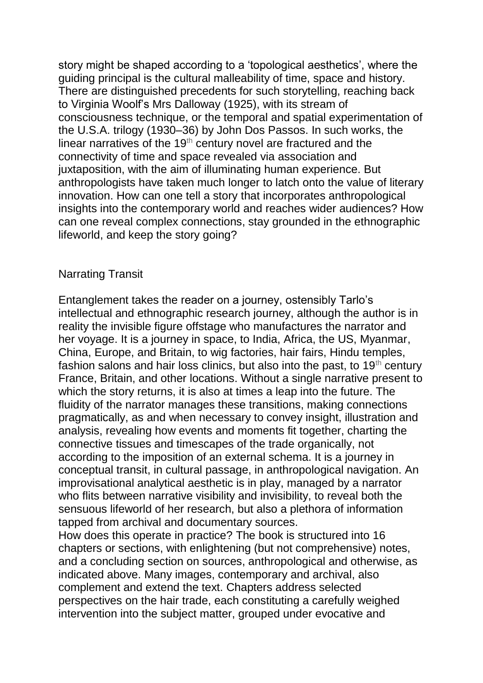story might be shaped according to a 'topological aesthetics', where the guiding principal is the cultural malleability of time, space and history. There are distinguished precedents for such storytelling, reaching back to Virginia Woolf's Mrs Dalloway (1925), with its stream of consciousness technique, or the temporal and spatial experimentation of the U.S.A. trilogy (1930–36) by John Dos Passos. In such works, the linear narratives of the 19<sup>th</sup> century novel are fractured and the connectivity of time and space revealed via association and juxtaposition, with the aim of illuminating human experience. But anthropologists have taken much longer to latch onto the value of literary innovation. How can one tell a story that incorporates anthropological insights into the contemporary world and reaches wider audiences? How can one reveal complex connections, stay grounded in the ethnographic lifeworld, and keep the story going?

# Narrating Transit

Entanglement takes the reader on a journey, ostensibly Tarlo's intellectual and ethnographic research journey, although the author is in reality the invisible figure offstage who manufactures the narrator and her voyage. It is a journey in space, to India, Africa, the US, Myanmar, China, Europe, and Britain, to wig factories, hair fairs, Hindu temples, fashion salons and hair loss clinics, but also into the past, to  $19<sup>th</sup>$  century France, Britain, and other locations. Without a single narrative present to which the story returns, it is also at times a leap into the future. The fluidity of the narrator manages these transitions, making connections pragmatically, as and when necessary to convey insight, illustration and analysis, revealing how events and moments fit together, charting the connective tissues and timescapes of the trade organically, not according to the imposition of an external schema. It is a journey in conceptual transit, in cultural passage, in anthropological navigation. An improvisational analytical aesthetic is in play, managed by a narrator who flits between narrative visibility and invisibility, to reveal both the sensuous lifeworld of her research, but also a plethora of information tapped from archival and documentary sources.

How does this operate in practice? The book is structured into 16 chapters or sections, with enlightening (but not comprehensive) notes, and a concluding section on sources, anthropological and otherwise, as indicated above. Many images, contemporary and archival, also complement and extend the text. Chapters address selected perspectives on the hair trade, each constituting a carefully weighed intervention into the subject matter, grouped under evocative and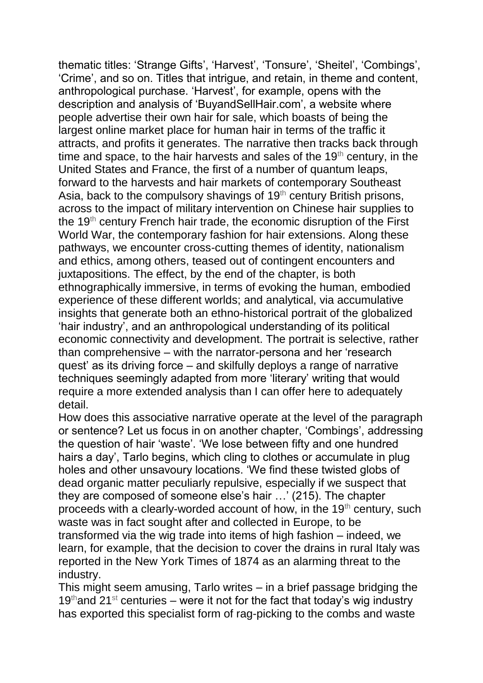thematic titles: 'Strange Gifts', 'Harvest', 'Tonsure', 'Sheitel', 'Combings', 'Crime', and so on. Titles that intrigue, and retain, in theme and content, anthropological purchase. 'Harvest', for example, opens with the description and analysis of 'BuyandSellHair.com', a website where people advertise their own hair for sale, which boasts of being the largest online market place for human hair in terms of the traffic it attracts, and profits it generates. The narrative then tracks back through time and space, to the hair harvests and sales of the  $19<sup>th</sup>$  century, in the United States and France, the first of a number of quantum leaps, forward to the harvests and hair markets of contemporary Southeast Asia, back to the compulsory shavings of  $19<sup>th</sup>$  century British prisons, across to the impact of military intervention on Chinese hair supplies to the 19<sup>th</sup> century French hair trade, the economic disruption of the First World War, the contemporary fashion for hair extensions. Along these pathways, we encounter cross-cutting themes of identity, nationalism and ethics, among others, teased out of contingent encounters and juxtapositions. The effect, by the end of the chapter, is both ethnographically immersive, in terms of evoking the human, embodied experience of these different worlds; and analytical, via accumulative insights that generate both an ethno-historical portrait of the globalized 'hair industry', and an anthropological understanding of its political economic connectivity and development. The portrait is selective, rather than comprehensive – with the narrator-persona and her 'research quest' as its driving force – and skilfully deploys a range of narrative techniques seemingly adapted from more 'literary' writing that would require a more extended analysis than I can offer here to adequately detail.

How does this associative narrative operate at the level of the paragraph or sentence? Let us focus in on another chapter, 'Combings', addressing the question of hair 'waste'. 'We lose between fifty and one hundred hairs a day', Tarlo begins, which cling to clothes or accumulate in plug holes and other unsavoury locations. 'We find these twisted globs of dead organic matter peculiarly repulsive, especially if we suspect that they are composed of someone else's hair …' (215). The chapter proceeds with a clearly-worded account of how, in the  $19<sup>th</sup>$  century, such waste was in fact sought after and collected in Europe, to be transformed via the wig trade into items of high fashion – indeed, we learn, for example, that the decision to cover the drains in rural Italy was reported in the New York Times of 1874 as an alarming threat to the industry.

This might seem amusing, Tarlo writes – in a brief passage bridging the 19<sup>th</sup>and 21<sup>st</sup> centuries – were it not for the fact that today's wig industry has exported this specialist form of rag-picking to the combs and waste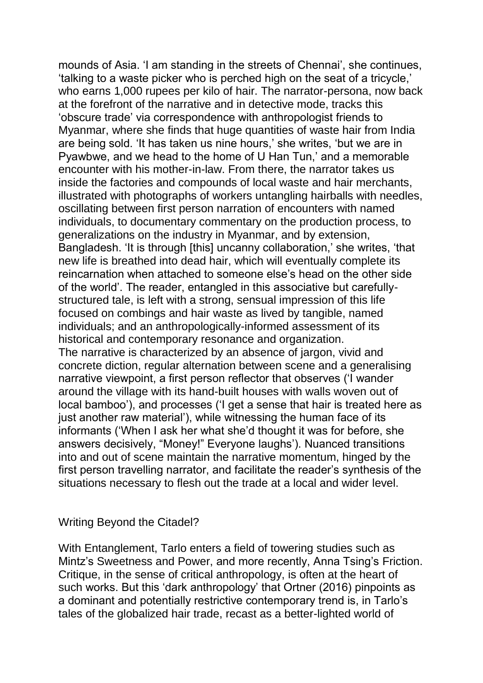mounds of Asia. 'I am standing in the streets of Chennai', she continues, 'talking to a waste picker who is perched high on the seat of a tricycle,' who earns 1,000 rupees per kilo of hair. The narrator-persona, now back at the forefront of the narrative and in detective mode, tracks this 'obscure trade' via correspondence with anthropologist friends to Myanmar, where she finds that huge quantities of waste hair from India are being sold. 'It has taken us nine hours,' she writes, 'but we are in Pyawbwe, and we head to the home of U Han Tun,' and a memorable encounter with his mother-in-law. From there, the narrator takes us inside the factories and compounds of local waste and hair merchants, illustrated with photographs of workers untangling hairballs with needles, oscillating between first person narration of encounters with named individuals, to documentary commentary on the production process, to generalizations on the industry in Myanmar, and by extension, Bangladesh. 'It is through [this] uncanny collaboration,' she writes, 'that new life is breathed into dead hair, which will eventually complete its reincarnation when attached to someone else's head on the other side of the world'. The reader, entangled in this associative but carefullystructured tale, is left with a strong, sensual impression of this life focused on combings and hair waste as lived by tangible, named individuals; and an anthropologically-informed assessment of its historical and contemporary resonance and organization. The narrative is characterized by an absence of jargon, vivid and concrete diction, regular alternation between scene and a generalising narrative viewpoint, a first person reflector that observes ('I wander around the village with its hand-built houses with walls woven out of local bamboo'), and processes ('I get a sense that hair is treated here as just another raw material'), while witnessing the human face of its informants ('When I ask her what she'd thought it was for before, she answers decisively, "Money!" Everyone laughs'). Nuanced transitions into and out of scene maintain the narrative momentum, hinged by the first person travelling narrator, and facilitate the reader's synthesis of the situations necessary to flesh out the trade at a local and wider level.

### Writing Beyond the Citadel?

With Entanglement, Tarlo enters a field of towering studies such as Mintz's Sweetness and Power, and more recently, Anna Tsing's Friction. Critique, in the sense of critical anthropology, is often at the heart of such works. But this 'dark anthropology' that Ortner (2016) pinpoints as a dominant and potentially restrictive contemporary trend is, in Tarlo's tales of the globalized hair trade, recast as a better-lighted world of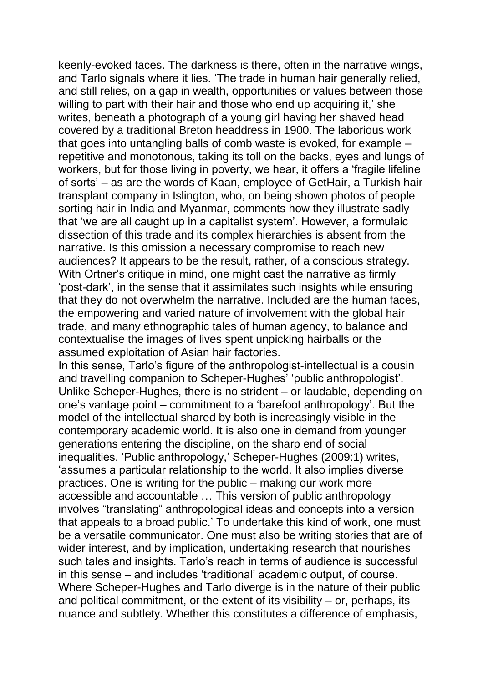keenly-evoked faces. The darkness is there, often in the narrative wings, and Tarlo signals where it lies. 'The trade in human hair generally relied, and still relies, on a gap in wealth, opportunities or values between those willing to part with their hair and those who end up acquiring it,' she writes, beneath a photograph of a young girl having her shaved head covered by a traditional Breton headdress in 1900. The laborious work that goes into untangling balls of comb waste is evoked, for example – repetitive and monotonous, taking its toll on the backs, eyes and lungs of workers, but for those living in poverty, we hear, it offers a 'fragile lifeline of sorts' – as are the words of Kaan, employee of GetHair, a Turkish hair transplant company in Islington, who, on being shown photos of people sorting hair in India and Myanmar, comments how they illustrate sadly that 'we are all caught up in a capitalist system'. However, a formulaic dissection of this trade and its complex hierarchies is absent from the narrative. Is this omission a necessary compromise to reach new audiences? It appears to be the result, rather, of a conscious strategy. With Ortner's critique in mind, one might cast the narrative as firmly 'post-dark', in the sense that it assimilates such insights while ensuring that they do not overwhelm the narrative. Included are the human faces, the empowering and varied nature of involvement with the global hair trade, and many ethnographic tales of human agency, to balance and contextualise the images of lives spent unpicking hairballs or the assumed exploitation of Asian hair factories.

In this sense, Tarlo's figure of the anthropologist-intellectual is a cousin and travelling companion to Scheper-Hughes' 'public anthropologist'. Unlike Scheper-Hughes, there is no strident – or laudable, depending on one's vantage point – commitment to a 'barefoot anthropology'. But the model of the intellectual shared by both is increasingly visible in the contemporary academic world. It is also one in demand from younger generations entering the discipline, on the sharp end of social inequalities. 'Public anthropology,' Scheper-Hughes (2009:1) writes, 'assumes a particular relationship to the world. It also implies diverse practices. One is writing for the public – making our work more accessible and accountable … This version of public anthropology involves "translating" anthropological ideas and concepts into a version that appeals to a broad public.' To undertake this kind of work, one must be a versatile communicator. One must also be writing stories that are of wider interest, and by implication, undertaking research that nourishes such tales and insights. Tarlo's reach in terms of audience is successful in this sense – and includes 'traditional' academic output, of course. Where Scheper-Hughes and Tarlo diverge is in the nature of their public and political commitment, or the extent of its visibility – or, perhaps, its nuance and subtlety. Whether this constitutes a difference of emphasis,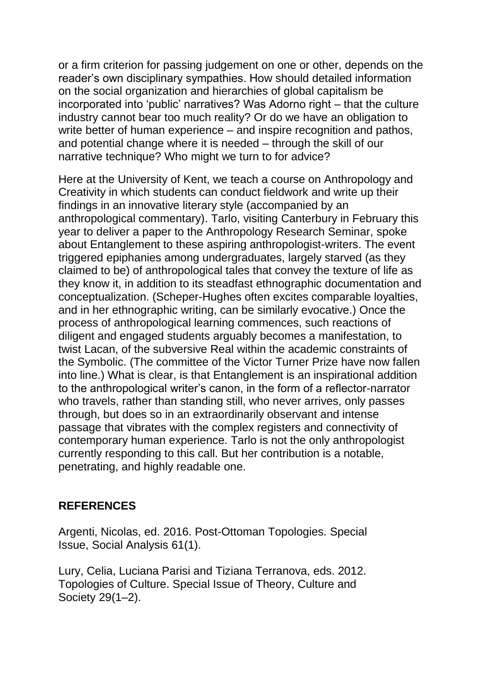or a firm criterion for passing judgement on one or other, depends on the reader's own disciplinary sympathies. How should detailed information on the social organization and hierarchies of global capitalism be incorporated into 'public' narratives? Was Adorno right – that the culture industry cannot bear too much reality? Or do we have an obligation to write better of human experience – and inspire recognition and pathos, and potential change where it is needed – through the skill of our narrative technique? Who might we turn to for advice?

Here at the University of Kent, we teach a course on Anthropology and Creativity in which students can conduct fieldwork and write up their findings in an innovative literary style (accompanied by an anthropological commentary). Tarlo, visiting Canterbury in February this year to deliver a paper to the Anthropology Research Seminar, spoke about Entanglement to these aspiring anthropologist-writers. The event triggered epiphanies among undergraduates, largely starved (as they claimed to be) of anthropological tales that convey the texture of life as they know it, in addition to its steadfast ethnographic documentation and conceptualization. (Scheper-Hughes often excites comparable loyalties, and in her ethnographic writing, can be similarly evocative.) Once the process of anthropological learning commences, such reactions of diligent and engaged students arguably becomes a manifestation, to twist Lacan, of the subversive Real within the academic constraints of the Symbolic. (The committee of the Victor Turner Prize have now fallen into line.) What is clear, is that Entanglement is an inspirational addition to the anthropological writer's canon, in the form of a reflector-narrator who travels, rather than standing still, who never arrives, only passes through, but does so in an extraordinarily observant and intense passage that vibrates with the complex registers and connectivity of contemporary human experience. Tarlo is not the only anthropologist currently responding to this call. But her contribution is a notable, penetrating, and highly readable one.

# **REFERENCES**

Argenti, Nicolas, ed. 2016. Post-Ottoman Topologies. Special Issue, Social Analysis 61(1).

Lury, Celia, Luciana Parisi and Tiziana Terranova, eds. 2012. Topologies of Culture. Special Issue of Theory, Culture and Society 29(1–2).